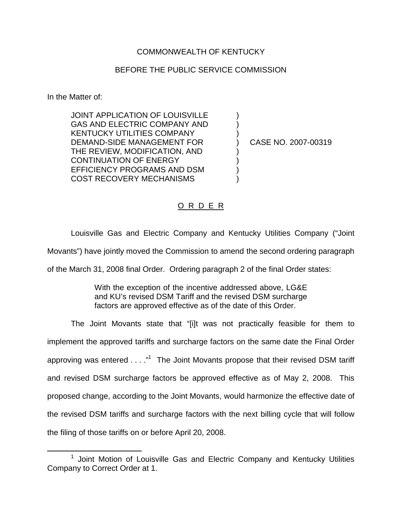## COMMONWEALTH OF KENTUCKY

## BEFORE THE PUBLIC SERVICE COMMISSION

In the Matter of:

JOINT APPLICATION OF LOUISVILLE ) GAS AND ELECTRIC COMPANY AND KENTUCKY UTILITIES COMPANY DEMAND-SIDE MANAGEMENT FOR (2007-00319) THE REVIEW, MODIFICATION, AND ) CONTINUATION OF ENERGY ) EFFICIENCY PROGRAMS AND DSM ) COST RECOVERY MECHANISMS )

## O R D E R

Louisville Gas and Electric Company and Kentucky Utilities Company ("Joint

Movants") have jointly moved the Commission to amend the second ordering paragraph

of the March 31, 2008 final Order. Ordering paragraph 2 of the final Order states:

With the exception of the incentive addressed above, LG&E and KU's revised DSM Tariff and the revised DSM surcharge factors are approved effective as of the date of this Order.

The Joint Movants state that "[i]t was not practically feasible for them to implement the approved tariffs and surcharge factors on the same date the Final Order approving was entered  $\dots$ ."<sup>1</sup> The Joint Movants propose that their revised DSM tariff and revised DSM surcharge factors be approved effective as of May 2, 2008. This proposed change, according to the Joint Movants, would harmonize the effective date of the revised DSM tariffs and surcharge factors with the next billing cycle that will follow the filing of those tariffs on or before April 20, 2008.

<sup>&</sup>lt;sup>1</sup> Joint Motion of Louisville Gas and Electric Company and Kentucky Utilities Company to Correct Order at 1.